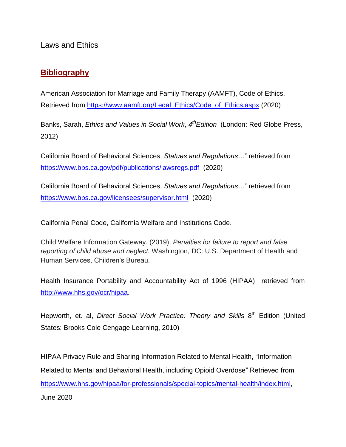Laws and Ethics

## **Bibliography**

American Association for Marriage and Family Therapy (AAMFT), Code of Ethics. Retrieved from [https://www.aamft.org/Legal\\_Ethics/Code\\_of\\_Ethics.aspx](https://www.aamft.org/Legal_Ethics/Code_of_Ethics.aspx) (2020)

Banks, Sarah, *Ethics and Values in Social Work*, *4 thEdition* (London: Red Globe Press, 2012)

California Board of Behavioral Sciences, *Statues and Regulations…"* retrieved from <https://www.bbs.ca.gov/pdf/publications/lawsregs.pdf> (2020)

California Board of Behavioral Sciences, *Statues and Regulations…"* retrieved from <https://www.bbs.ca.gov/licensees/supervisor.html> (2020)

California Penal Code, California Welfare and Institutions Code.

Child Welfare Information Gateway. (2019). *Penalties for failure to report and false reporting of child abuse and neglect.* Washington, DC: U.S. Department of Health and Human Services, Children's Bureau.

Health Insurance Portability and Accountability Act of 1996 (HIPAA) retrieved from [http://www.hhs.gov/ocr/hipaa.](http://www.hhs.gov/ocr/hipaa/)

Hepworth, et. al, *Direct Social Work Practice: Theory and Skills* 8<sup>th</sup> Edition (United States: Brooks Cole Cengage Learning, 2010)

HIPAA Privacy Rule and Sharing Information Related to Mental Health, "Information Related to Mental and Behavioral Health, including Opioid Overdose" Retrieved from [https://www.hhs.gov/hipaa/for-professionals/special-topics/mental-health/index.html,](https://www.hhs.gov/hipaa/for-professionals/special-topics/mental-health/index.html) June 2020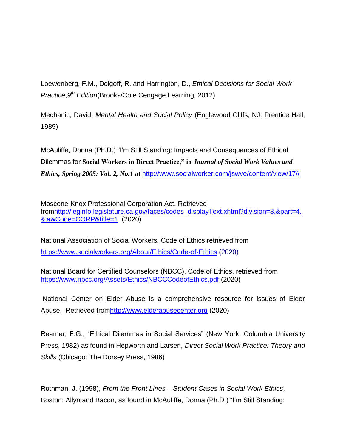Loewenberg, F.M., Dolgoff, R. and Harrington, D., *Ethical Decisions for Social Work Practice*,*9 th Edition*(Brooks/Cole Cengage Learning, 2012)

Mechanic, David, *Mental Health and Social Policy* (Englewood Cliffs, NJ: Prentice Hall, 1989)

McAuliffe, Donna (Ph.D.) "I'm Still Standing: Impacts and Consequences of Ethical Dilemmas for **Social Workers in Direct Practice," in** *Journal of Social Work Values and Ethics, Spring 2005: Vol. 2, No.1* **at** [http://www.socialworker.com/jswve/content/view/17//](http://www.socialworker.com/jswve/content/view/17/)

Moscone-Knox Professional Corporation Act. Retrieved fro[mhttp://leginfo.legislature.ca.gov/faces/codes\\_displayText.xhtml?division=3.&part=4.](http://leginfo.legislature.ca.gov/faces/codes_displayText.xhtml?division=3.&part=4.&lawCode=CORP&title=1) [&lawCode=CORP&title=1.](http://leginfo.legislature.ca.gov/faces/codes_displayText.xhtml?division=3.&part=4.&lawCode=CORP&title=1) (2020)

National Association of Social Workers, Code of Ethics retrieved from <https://www.socialworkers.org/About/Ethics/Code-of-Ethics> (2020)

National Board for Certified Counselors (NBCC), Code of Ethics, retrieved from <https://www.nbcc.org/Assets/Ethics/NBCCCodeofEthics.pdf> (2020)

National Center on Elder Abuse is a comprehensive resource for issues of Elder Abuse. Retrieved fro[mhttp://www.elderabusecenter.org](http://www.elderabusecenter.org/) (2020)

Reamer, F.G., "Ethical Dilemmas in Social Services" (New York: Columbia University Press, 1982) as found in Hepworth and Larsen, *Direct Social Work Practice: Theory and Skills* (Chicago: The Dorsey Press, 1986)

Rothman, J. (1998), *From the Front Lines – Student Cases in Social Work Ethics*, Boston: Allyn and Bacon, as found in McAuliffe, Donna (Ph.D.) "I'm Still Standing: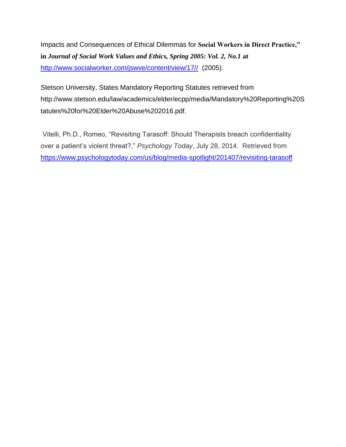Impacts and Consequences of Ethical Dilemmas for **Social Workers in Direct Practice," in** *Journal of Social Work Values and Ethics, Spring 2005: Vol. 2, No.1* **at**  [http://www.socialworker.com/jswve/content/view/17//](http://www.socialworker.com/jswve/content/view/17/) (2005).

Stetson University, States Mandatory Reporting Statutes retrieved from http://www.stetson.edu/law/academics/elder/ecpp/media/Mandatory%20Reporting%20S tatutes%20for%20Elder%20Abuse%202016.pdf.

Vitelli, Ph.D., Romeo, "Revisiting Tarasoff: Should Therapists breach confidentiality over a patient's violent threat?," *Psychology Today*, July 28, 2014. Retrieved from <https://www.psychologytoday.com/us/blog/media-spotlight/201407/revisiting-tarasoff>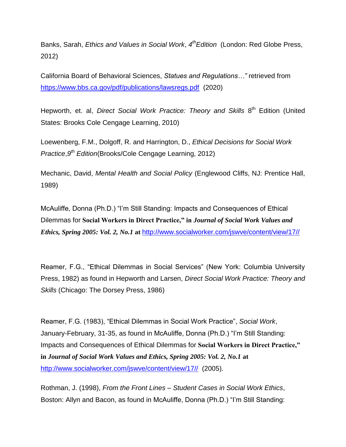Banks, Sarah, *Ethics and Values in Social Work*, *4 thEdition* (London: Red Globe Press, 2012)

California Board of Behavioral Sciences, *Statues and Regulations…"* retrieved from <https://www.bbs.ca.gov/pdf/publications/lawsregs.pdf> (2020)

Hepworth, et. al, *Direct Social Work Practice: Theory and Skills* 8<sup>th</sup> Edition (United States: Brooks Cole Cengage Learning, 2010)

Loewenberg, F.M., Dolgoff, R. and Harrington, D., *Ethical Decisions for Social Work Practice*,*9 th Edition*(Brooks/Cole Cengage Learning, 2012)

Mechanic, David, *Mental Health and Social Policy* (Englewood Cliffs, NJ: Prentice Hall, 1989)

McAuliffe, Donna (Ph.D.) "I'm Still Standing: Impacts and Consequences of Ethical Dilemmas for **Social Workers in Direct Practice," in** *Journal of Social Work Values and Ethics, Spring 2005: Vol. 2, No.1* **at** [http://www.socialworker.com/jswve/content/view/17//](http://www.socialworker.com/jswve/content/view/17/)

Reamer, F.G., "Ethical Dilemmas in Social Services" (New York: Columbia University Press, 1982) as found in Hepworth and Larsen, *Direct Social Work Practice: Theory and Skills* (Chicago: The Dorsey Press, 1986)

Reamer, F.G. (1983), "Ethical Dilemmas in Social Work Practice", *Social Work*, January-February, 31-35, as found in McAuliffe, Donna (Ph.D.) "I'm Still Standing: Impacts and Consequences of Ethical Dilemmas for **Social Workers in Direct Practice," in** *Journal of Social Work Values and Ethics, Spring 2005: Vol. 2, No.1* **at**  [http://www.socialworker.com/jswve/content/view/17//](http://www.socialworker.com/jswve/content/view/17/) (2005).

Rothman, J. (1998), *From the Front Lines – Student Cases in Social Work Ethics*, Boston: Allyn and Bacon, as found in McAuliffe, Donna (Ph.D.) "I'm Still Standing: